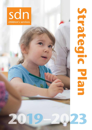sdn children's services

# **2019–2023**

**Strategic Plan**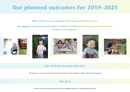# **Our planned outcomes for 2019–2023**

**SDN's** *vision* **is for an equitable world where all children thrive.**

**Our** *purpose* **is to promote and enhance children's wellbeing, learning and development in inclusive environments.**











# **Our 2019–23 strategic direction**

SDN will grow its current reach and deliver coordinated children's services, including for children experiencing disadvantage



We want to have consistent, quality services that are desirable for families, are sustainable and have impact.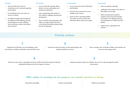### **Quality**

- have the child at the centre of everything we do, in safe and supportive environments
- be coordinated when more than one ь service is involved
- be staffed by people with foundational ь knowledge of child wellbeing, learning and development, family wellbeing and functioning, inclusion and relevant service systems.

### **Desirable**

- access to staff with specialist skills so barriers to access, participation and inclusion are addressed.
- work in partnership with families for their children's wellbeing, learning and development
- have a consistent value proposition that reflects our target markets and that is communicated and demonstrated clearly and can be replicated.

### **Sustainable**

- use our assets and resources effectively ь and efficiently
- ensure we have revenue from across Ń multiple service streams
- ensure we have a growing portfolio ь mix within our service streams that collectively deliver mission and surplus.

## **Impactful**

- share our expertise externally ь
- ь collaborate and/or partner with others to help address service gaps
- Ь deliver and advocate for policies, programs and services that promote and enhance the wellbeing, learning and development of children and their families
- ь support access, participation and inclusion.

# **Priority actions**

**1**

Implement the SDN Way, our inter‐disciplinary value commitment to children and families across all SDN services. Increase the reach and impact of early learning places with a balanced portfolio of centres.

**2**

# **3**

Have a stronger voice on behalf of children, their families and the services that support them.

# **4**

Extend our reach with our specialised services for children with Autism Spectrum Disorder, developmental delay and with the impacts of trauma.

**5**

Develop innovative solutions for children who are not in safe and supportive family environments.

# **SDN's values. In carrying out our purpose, we commit ourselves to being:**

Trustworthy and reliable Trustworthy and reliable Inclusive and respectful Trustworthy and reliable Creative and innovative.